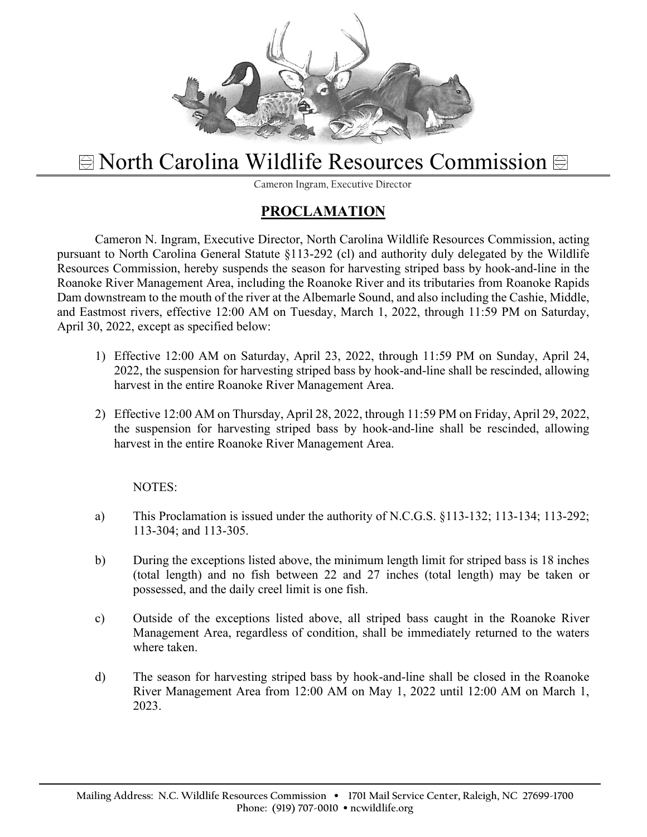

## $\textcircled{R}$  **North Carolina Wildlife Resources Commission**  $\textcircled{R}$

Cameron Ingram, Executive Director

## **PROCLAMATION**

Cameron N. Ingram, Executive Director, North Carolina Wildlife Resources Commission, acting pursuant to North Carolina General Statute §113-292 (cl) and authority duly delegated by the Wildlife Resources Commission, hereby suspends the season for harvesting striped bass by hook-and-line in the Roanoke River Management Area, including the Roanoke River and its tributaries from Roanoke Rapids Dam downstream to the mouth of the river at the Albemarle Sound, and also including the Cashie, Middle, and Eastmost rivers, effective 12:00 AM on Tuesday, March 1, 2022, through 11:59 PM on Saturday, April 30, 2022, except as specified below:

- 1) Effective 12:00 AM on Saturday, April 23, 2022, through 11:59 PM on Sunday, April 24, 2022, the suspension for harvesting striped bass by hook-and-line shall be rescinded, allowing harvest in the entire Roanoke River Management Area.
- 2) Effective 12:00 AM on Thursday, April 28, 2022, through 11:59 PM on Friday, April 29, 2022, the suspension for harvesting striped bass by hook-and-line shall be rescinded, allowing harvest in the entire Roanoke River Management Area.

## NOTES:

- a) This Proclamation is issued under the authority of N.C.G.S. §113-132; 113-134; 113-292; 113-304; and 113-305.
- b) During the exceptions listed above, the minimum length limit for striped bass is 18 inches (total length) and no fish between 22 and 27 inches (total length) may be taken or possessed, and the daily creel limit is one fish.
- c) Outside of the exceptions listed above, all striped bass caught in the Roanoke River Management Area, regardless of condition, shall be immediately returned to the waters where taken.
- d) The season for harvesting striped bass by hook-and-line shall be closed in the Roanoke River Management Area from 12:00 AM on May 1, 2022 until 12:00 AM on March 1, 2023.